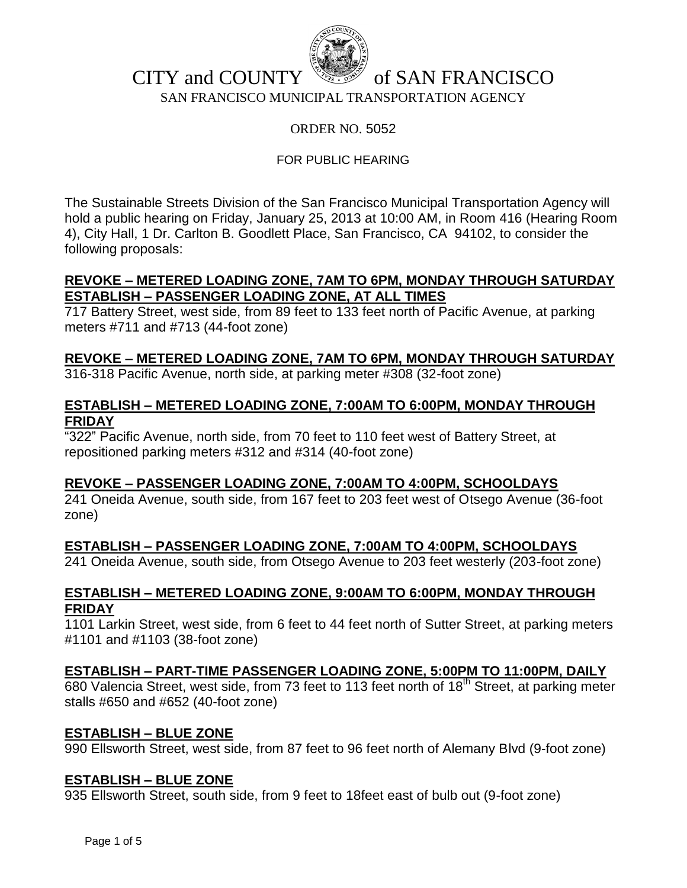

## CITY and COUNTY  $\mathbb{R}^n$  of SAN FRANCISCO SAN FRANCISCO MUNICIPAL TRANSPORTATION AGENCY

### ORDER NO. 5052

## FOR PUBLIC HEARING

The Sustainable Streets Division of the San Francisco Municipal Transportation Agency will hold a public hearing on Friday, January 25, 2013 at 10:00 AM, in Room 416 (Hearing Room 4), City Hall, 1 Dr. Carlton B. Goodlett Place, San Francisco, CA 94102, to consider the following proposals:

### **REVOKE – METERED LOADING ZONE, 7AM TO 6PM, MONDAY THROUGH SATURDAY ESTABLISH – PASSENGER LOADING ZONE, AT ALL TIMES**

717 Battery Street, west side, from 89 feet to 133 feet north of Pacific Avenue, at parking meters #711 and #713 (44-foot zone)

## **REVOKE – METERED LOADING ZONE, 7AM TO 6PM, MONDAY THROUGH SATURDAY**

316-318 Pacific Avenue, north side, at parking meter #308 (32-foot zone)

### **ESTABLISH – METERED LOADING ZONE, 7:00AM TO 6:00PM, MONDAY THROUGH FRIDAY**

"322" Pacific Avenue, north side, from 70 feet to 110 feet west of Battery Street, at repositioned parking meters #312 and #314 (40-foot zone)

### **REVOKE – PASSENGER LOADING ZONE, 7:00AM TO 4:00PM, SCHOOLDAYS**

241 Oneida Avenue, south side, from 167 feet to 203 feet west of Otsego Avenue (36-foot zone)

## **ESTABLISH – PASSENGER LOADING ZONE, 7:00AM TO 4:00PM, SCHOOLDAYS**

241 Oneida Avenue, south side, from Otsego Avenue to 203 feet westerly (203-foot zone)

## **ESTABLISH – METERED LOADING ZONE, 9:00AM TO 6:00PM, MONDAY THROUGH FRIDAY**

1101 Larkin Street, west side, from 6 feet to 44 feet north of Sutter Street, at parking meters #1101 and #1103 (38-foot zone)

## **ESTABLISH – PART-TIME PASSENGER LOADING ZONE, 5:00PM TO 11:00PM, DAILY**

680 Valencia Street, west side, from 73 feet to 113 feet north of 18<sup>th</sup> Street, at parking meter stalls #650 and #652 (40-foot zone)

### **ESTABLISH – BLUE ZONE**

990 Ellsworth Street, west side, from 87 feet to 96 feet north of Alemany Blvd (9-foot zone)

### **ESTABLISH – BLUE ZONE**

935 Ellsworth Street, south side, from 9 feet to 18feet east of bulb out (9-foot zone)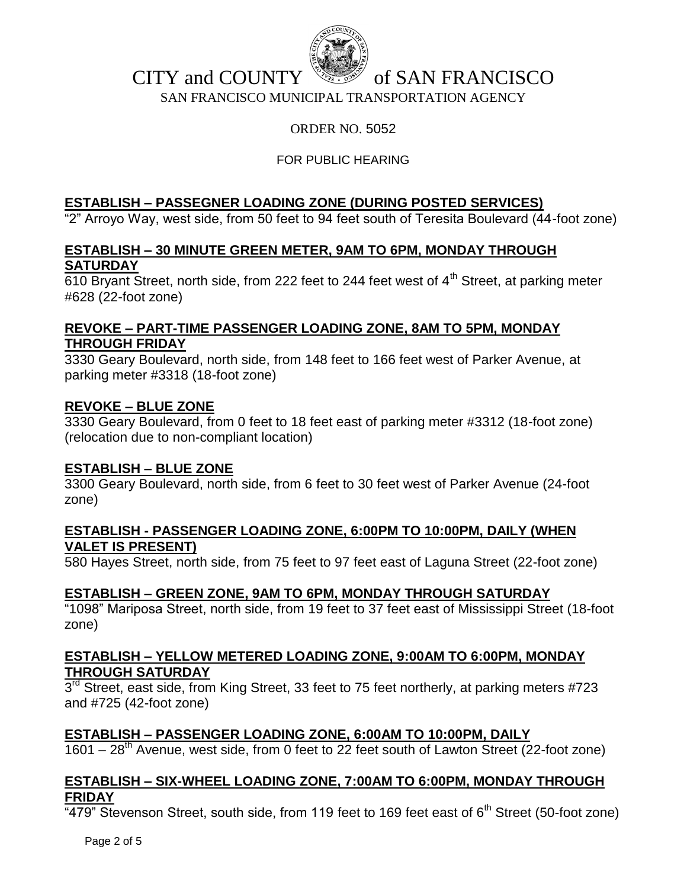

## CITY and COUNTY  $\mathbb{R}^n$  of SAN FRANCISCO

SAN FRANCISCO MUNICIPAL TRANSPORTATION AGENCY

## ORDER NO. 5052

## FOR PUBLIC HEARING

## **ESTABLISH – PASSEGNER LOADING ZONE (DURING POSTED SERVICES)**

"2" Arroyo Way, west side, from 50 feet to 94 feet south of Teresita Boulevard (44-foot zone)

### **ESTABLISH – 30 MINUTE GREEN METER, 9AM TO 6PM, MONDAY THROUGH SATURDAY**

 $\overline{610}$  Bryant Street, north side, from 222 feet to 244 feet west of 4<sup>th</sup> Street, at parking meter #628 (22-foot zone)

## **REVOKE – PART-TIME PASSENGER LOADING ZONE, 8AM TO 5PM, MONDAY THROUGH FRIDAY**

3330 Geary Boulevard, north side, from 148 feet to 166 feet west of Parker Avenue, at parking meter #3318 (18-foot zone)

### **REVOKE – BLUE ZONE**

3330 Geary Boulevard, from 0 feet to 18 feet east of parking meter #3312 (18-foot zone) (relocation due to non-compliant location)

### **ESTABLISH – BLUE ZONE**

3300 Geary Boulevard, north side, from 6 feet to 30 feet west of Parker Avenue (24-foot zone)

### **ESTABLISH - PASSENGER LOADING ZONE, 6:00PM TO 10:00PM, DAILY (WHEN VALET IS PRESENT)**

580 Hayes Street, north side, from 75 feet to 97 feet east of Laguna Street (22-foot zone)

## **ESTABLISH – GREEN ZONE, 9AM TO 6PM, MONDAY THROUGH SATURDAY**

"1098" Mariposa Street, north side, from 19 feet to 37 feet east of Mississippi Street (18-foot zone)

## **ESTABLISH – YELLOW METERED LOADING ZONE, 9:00AM TO 6:00PM, MONDAY THROUGH SATURDAY**

 $3<sup>rd</sup>$  Street, east side, from King Street, 33 feet to 75 feet northerly, at parking meters #723 and #725 (42-foot zone)

## **ESTABLISH – PASSENGER LOADING ZONE, 6:00AM TO 10:00PM, DAILY**

1601 –  $28<sup>th</sup>$  Avenue, west side, from 0 feet to 22 feet south of Lawton Street (22-foot zone)

## **ESTABLISH – SIX-WHEEL LOADING ZONE, 7:00AM TO 6:00PM, MONDAY THROUGH FRIDAY**

 $479$ " Stevenson Street, south side, from 119 feet to 169 feet east of 6<sup>th</sup> Street (50-foot zone)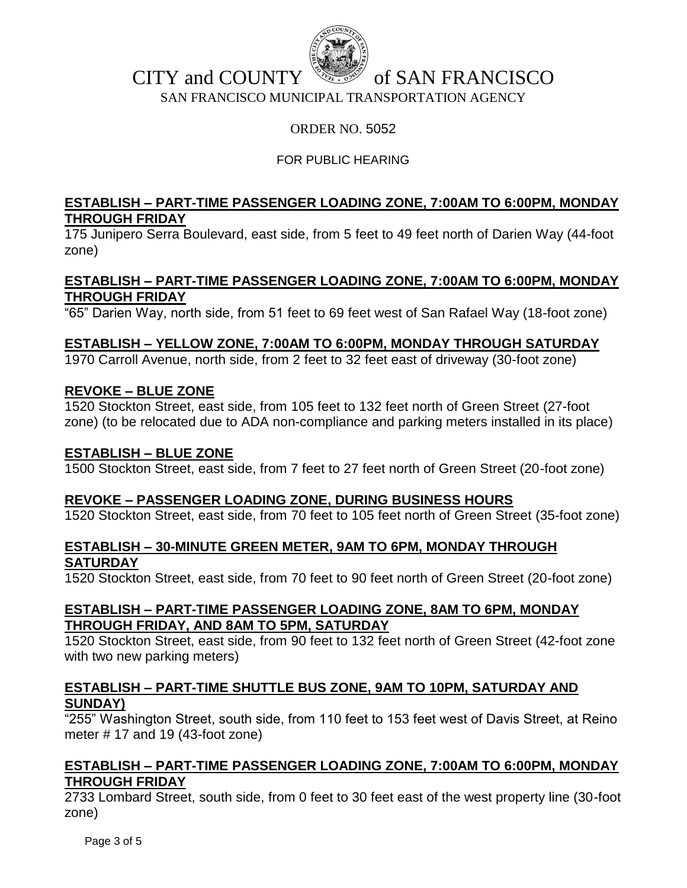

## CITY and COUNTY  $\mathbb{R}^n$  of SAN FRANCISCO SAN FRANCISCO MUNICIPAL TRANSPORTATION AGENCY

## ORDER NO. 5052

## FOR PUBLIC HEARING

## **ESTABLISH – PART-TIME PASSENGER LOADING ZONE, 7:00AM TO 6:00PM, MONDAY THROUGH FRIDAY**

175 Junipero Serra Boulevard, east side, from 5 feet to 49 feet north of Darien Way (44-foot zone)

### **ESTABLISH – PART-TIME PASSENGER LOADING ZONE, 7:00AM TO 6:00PM, MONDAY THROUGH FRIDAY**

"65" Darien Way, north side, from 51 feet to 69 feet west of San Rafael Way (18-foot zone)

### **ESTABLISH – YELLOW ZONE, 7:00AM TO 6:00PM, MONDAY THROUGH SATURDAY**

1970 Carroll Avenue, north side, from 2 feet to 32 feet east of driveway (30-foot zone)

### **REVOKE – BLUE ZONE**

1520 Stockton Street, east side, from 105 feet to 132 feet north of Green Street (27-foot zone) (to be relocated due to ADA non-compliance and parking meters installed in its place)

### **ESTABLISH – BLUE ZONE**

1500 Stockton Street, east side, from 7 feet to 27 feet north of Green Street (20-foot zone)

### **REVOKE – PASSENGER LOADING ZONE, DURING BUSINESS HOURS**

1520 Stockton Street, east side, from 70 feet to 105 feet north of Green Street (35-foot zone)

#### **ESTABLISH – 30-MINUTE GREEN METER, 9AM TO 6PM, MONDAY THROUGH SATURDAY**

1520 Stockton Street, east side, from 70 feet to 90 feet north of Green Street (20-foot zone)

## **ESTABLISH – PART-TIME PASSENGER LOADING ZONE, 8AM TO 6PM, MONDAY THROUGH FRIDAY, AND 8AM TO 5PM, SATURDAY**

1520 Stockton Street, east side, from 90 feet to 132 feet north of Green Street (42-foot zone with two new parking meters)

## **ESTABLISH – PART-TIME SHUTTLE BUS ZONE, 9AM TO 10PM, SATURDAY AND SUNDAY)**

"255" Washington Street, south side, from 110 feet to 153 feet west of Davis Street, at Reino meter # 17 and 19 (43-foot zone)

### **ESTABLISH – PART-TIME PASSENGER LOADING ZONE, 7:00AM TO 6:00PM, MONDAY THROUGH FRIDAY**

2733 Lombard Street, south side, from 0 feet to 30 feet east of the west property line (30-foot zone)

Page 3 of 5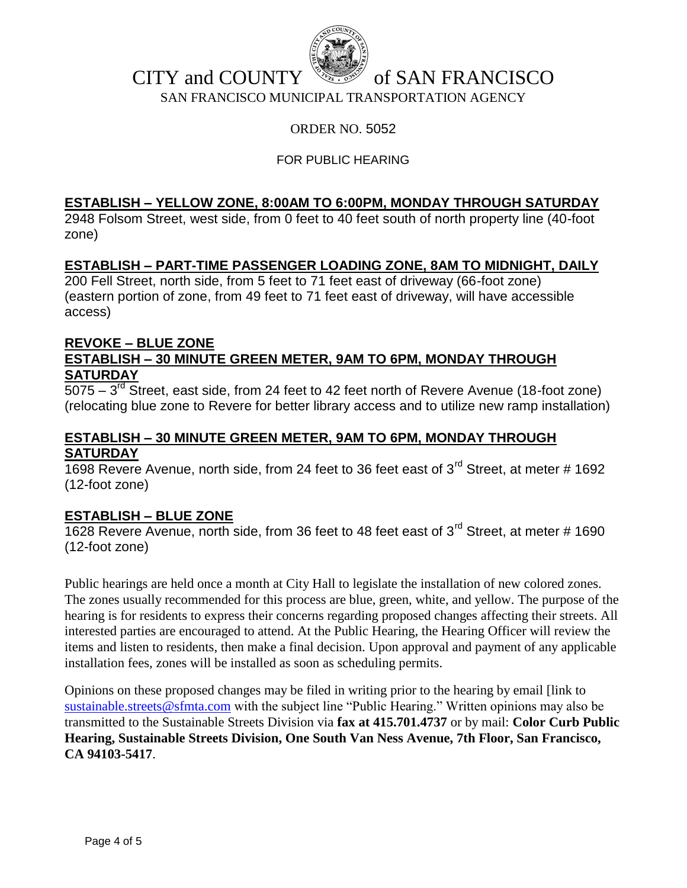

# CITY and COUNTY  $\mathbb{R}^n$  of SAN FRANCISCO

SAN FRANCISCO MUNICIPAL TRANSPORTATION AGENCY

## ORDER NO. 5052

## FOR PUBLIC HEARING

#### **ESTABLISH – YELLOW ZONE, 8:00AM TO 6:00PM, MONDAY THROUGH SATURDAY**

2948 Folsom Street, west side, from 0 feet to 40 feet south of north property line (40-foot zone)

### **ESTABLISH – PART-TIME PASSENGER LOADING ZONE, 8AM TO MIDNIGHT, DAILY**

200 Fell Street, north side, from 5 feet to 71 feet east of driveway (66-foot zone) (eastern portion of zone, from 49 feet to 71 feet east of driveway, will have accessible access)

#### **REVOKE – BLUE ZONE ESTABLISH – 30 MINUTE GREEN METER, 9AM TO 6PM, MONDAY THROUGH SATURDAY**

 $5075 - 3^{rd}$  Street, east side, from 24 feet to 42 feet north of Revere Avenue (18-foot zone) (relocating blue zone to Revere for better library access and to utilize new ramp installation)

### **ESTABLISH – 30 MINUTE GREEN METER, 9AM TO 6PM, MONDAY THROUGH SATURDAY**

1698 Revere Avenue, north side, from 24 feet to 36 feet east of  $3<sup>rd</sup>$  Street, at meter # 1692 (12-foot zone)

### **ESTABLISH – BLUE ZONE**

1628 Revere Avenue, north side, from 36 feet to 48 feet east of 3<sup>rd</sup> Street, at meter # 1690 (12-foot zone)

Public hearings are held once a month at City Hall to legislate the installation of new colored zones. The zones usually recommended for this process are blue, green, white, and yellow. The purpose of the hearing is for residents to express their concerns regarding proposed changes affecting their streets. All interested parties are encouraged to attend. At the Public Hearing, the Hearing Officer will review the items and listen to residents, then make a final decision. Upon approval and payment of any applicable installation fees, zones will be installed as soon as scheduling permits.

Opinions on these proposed changes may be filed in writing prior to the hearing by email [link to [sustainable.streets@sfmta.com](mailto:sustainable.streets@sfmta.com) with the subject line "Public Hearing." Written opinions may also be transmitted to the Sustainable Streets Division via **fax at 415.701.4737** or by mail: **Color Curb Public Hearing, Sustainable Streets Division, One South Van Ness Avenue, 7th Floor, San Francisco, CA 94103-5417**.